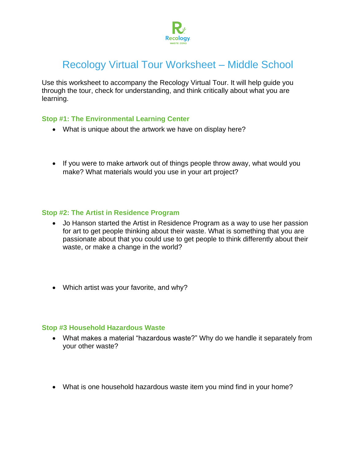

# Recology Virtual Tour Worksheet – Middle School

Use this worksheet to accompany the Recology Virtual Tour. It will help guide you through the tour, check for understanding, and think critically about what you are learning.

#### **Stop #1: The Environmental Learning Center**

- What is unique about the artwork we have on display here?
- If you were to make artwork out of things people throw away, what would you make? What materials would you use in your art project?

## **Stop #2: The Artist in Residence Program**

- Jo Hanson started the Artist in Residence Program as a way to use her passion for art to get people thinking about their waste. What is something that you are passionate about that you could use to get people to think differently about their waste, or make a change in the world?
- Which artist was your favorite, and why?

#### **Stop #3 Household Hazardous Waste**

- What makes a material "hazardous waste?" Why do we handle it separately from your other waste?
- What is one household hazardous waste item you mind find in your home?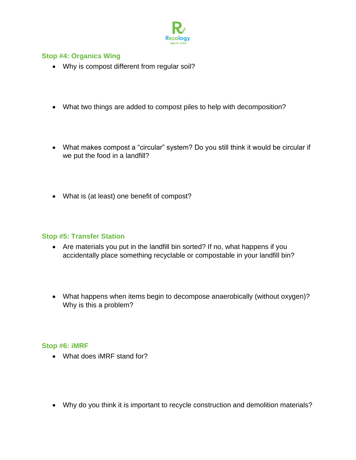

## **Stop #4: Organics Wing**

- Why is compost different from regular soil?
- What two things are added to compost piles to help with decomposition?
- What makes compost a "circular" system? Do you still think it would be circular if we put the food in a landfill?
- What is (at least) one benefit of compost?

# **Stop #5: Transfer Station**

- Are materials you put in the landfill bin sorted? If no, what happens if you accidentally place something recyclable or compostable in your landfill bin?
- What happens when items begin to decompose anaerobically (without oxygen)? Why is this a problem?

## **Stop #6: iMRF**

- What does iMRF stand for?
- Why do you think it is important to recycle construction and demolition materials?